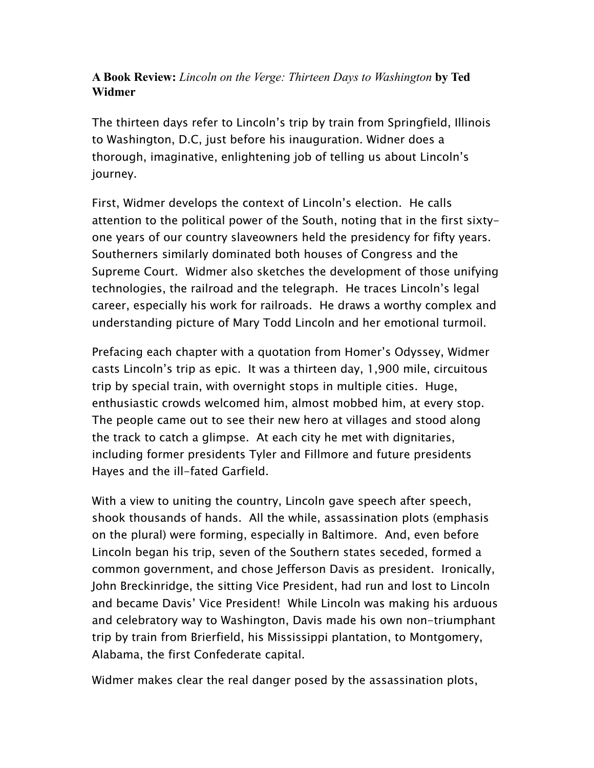## **A Book Review:** *Lincoln on the Verge: Thirteen Days to Washington* **by Ted Widmer**

The thirteen days refer to Lincoln's trip by train from Springfield, Illinois to Washington, D.C, just before his inauguration. Widner does a thorough, imaginative, enlightening job of telling us about Lincoln's journey.

First, Widmer develops the context of Lincoln's election. He calls attention to the political power of the South, noting that in the first sixtyone years of our country slaveowners held the presidency for fifty years. Southerners similarly dominated both houses of Congress and the Supreme Court. Widmer also sketches the development of those unifying technologies, the railroad and the telegraph. He traces Lincoln's legal career, especially his work for railroads. He draws a worthy complex and understanding picture of Mary Todd Lincoln and her emotional turmoil.

Prefacing each chapter with a quotation from Homer's Odyssey, Widmer casts Lincoln's trip as epic. It was a thirteen day, 1,900 mile, circuitous trip by special train, with overnight stops in multiple cities. Huge, enthusiastic crowds welcomed him, almost mobbed him, at every stop. The people came out to see their new hero at villages and stood along the track to catch a glimpse. At each city he met with dignitaries, including former presidents Tyler and Fillmore and future presidents Hayes and the ill-fated Garfield.

With a view to uniting the country, Lincoln gave speech after speech, shook thousands of hands. All the while, assassination plots (emphasis on the plural) were forming, especially in Baltimore. And, even before Lincoln began his trip, seven of the Southern states seceded, formed a common government, and chose Jefferson Davis as president. Ironically, John Breckinridge, the sitting Vice President, had run and lost to Lincoln and became Davis' Vice President! While Lincoln was making his arduous and celebratory way to Washington, Davis made his own non-triumphant trip by train from Brierfield, his Mississippi plantation, to Montgomery, Alabama, the first Confederate capital.

Widmer makes clear the real danger posed by the assassination plots,